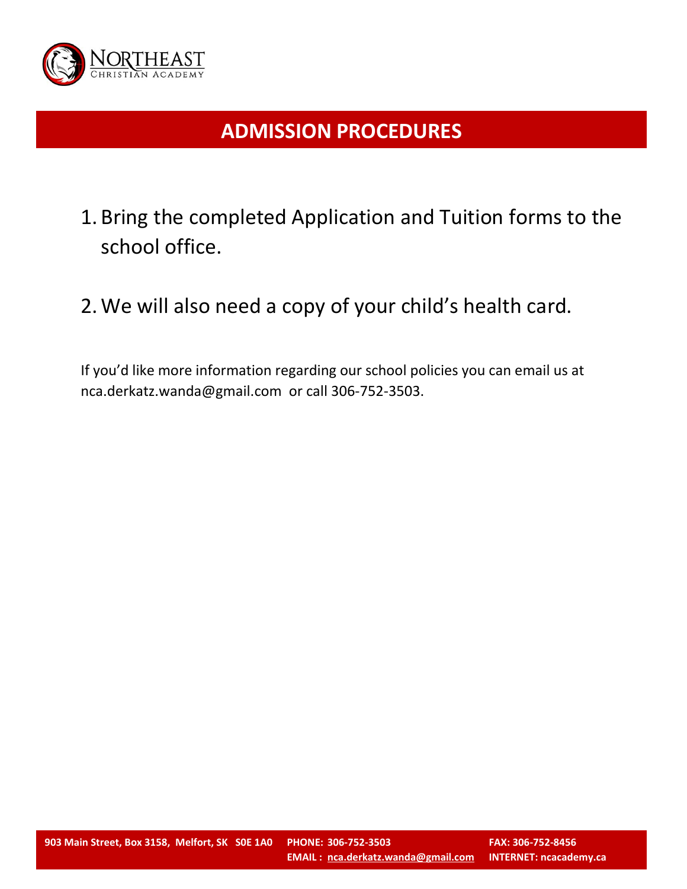

# **ADMISSION PROCEDURES**

- 1. Bring the completed Application and Tuition forms to the school office.
- 2.We will also need a copy of your child's health card.

If you'd like more information regarding our school policies you can email us at nca.derkatz.wanda@gmail.com or call 306-752-3503.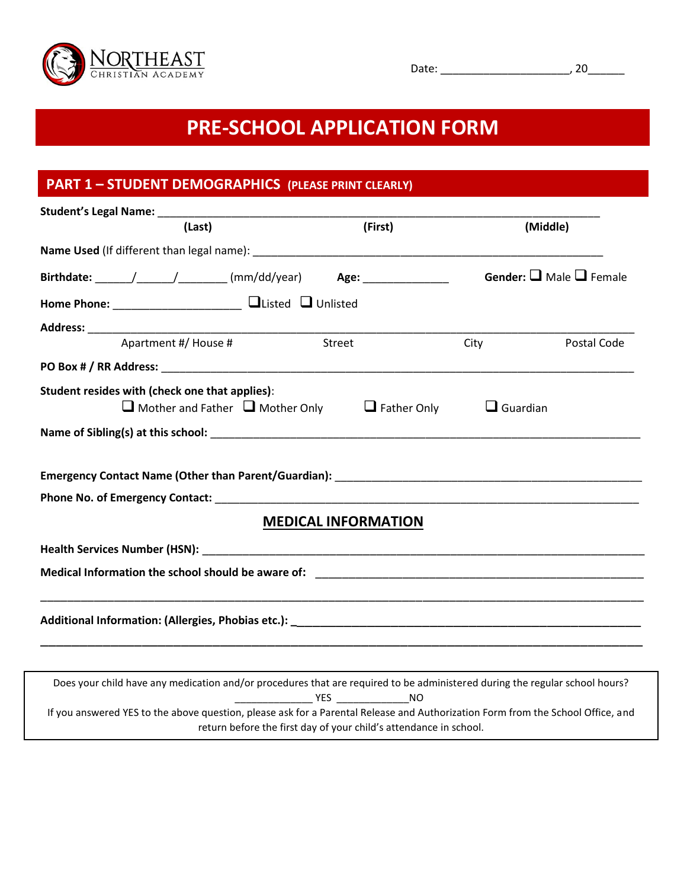

# **PRE-SCHOOL APPLICATION FORM**

## **PART 1 – STUDENT DEMOGRAPHICS (PLEASE PRINT CLEARLY)**

| (Last)                                                                                                                                                                                                                                                                                                                                                                                                         | (First)                                                           |                 | (Middle)                                 |
|----------------------------------------------------------------------------------------------------------------------------------------------------------------------------------------------------------------------------------------------------------------------------------------------------------------------------------------------------------------------------------------------------------------|-------------------------------------------------------------------|-----------------|------------------------------------------|
|                                                                                                                                                                                                                                                                                                                                                                                                                |                                                                   |                 |                                          |
| Birthdate: $\frac{1}{\sqrt{1-\frac{1}{1-\frac{1}{1-\frac{1}{1-\frac{1}{1-\frac{1}{1-\frac{1}{1-\frac{1}{1-\frac{1}{1-\frac{1}{1-\frac{1}{1-\frac{1}{1-\frac{1}{1-\frac{1}{1-\frac{1}{1-\frac{1}{1-\frac{1}{1-\frac{1}{1-\frac{1}{1-\frac{1}{1-\frac{1}{1-\frac{1}{1-\frac{1}{1-\frac{1}{1-\frac{1}{1-\frac{1}{1-\frac{1}{1-\frac{1}{1-\frac{1}{1-\frac{1}{1-\frac{1}{1-\frac{1}{1-\frac{1}{1-\frac{1}{1-\frac$ |                                                                   |                 | <b>Gender:</b> $\Box$ Male $\Box$ Female |
| Home Phone: _________________________ QListed Q Unlisted                                                                                                                                                                                                                                                                                                                                                       |                                                                   |                 |                                          |
|                                                                                                                                                                                                                                                                                                                                                                                                                |                                                                   |                 |                                          |
| Apartment #/ House #                                                                                                                                                                                                                                                                                                                                                                                           | Street                                                            | City            | Postal Code                              |
| PO Box # / RR Address: No. 2014 19:30:2014 12:30:2014 12:30:2014 12:30:2014 12:30:2014 12:30:2014 12:30:2014 1                                                                                                                                                                                                                                                                                                 |                                                                   |                 |                                          |
| Student resides with (check one that applies):                                                                                                                                                                                                                                                                                                                                                                 |                                                                   |                 |                                          |
| $\Box$ Mother and Father $\Box$ Mother Only                                                                                                                                                                                                                                                                                                                                                                    | $\Box$ Father Only                                                | $\Box$ Guardian |                                          |
|                                                                                                                                                                                                                                                                                                                                                                                                                |                                                                   |                 |                                          |
|                                                                                                                                                                                                                                                                                                                                                                                                                |                                                                   |                 |                                          |
|                                                                                                                                                                                                                                                                                                                                                                                                                | <b>MEDICAL INFORMATION</b>                                        |                 |                                          |
|                                                                                                                                                                                                                                                                                                                                                                                                                |                                                                   |                 |                                          |
| Medical Information the school should be aware of: The Community Community of the School should be aware of:                                                                                                                                                                                                                                                                                                   |                                                                   |                 |                                          |
|                                                                                                                                                                                                                                                                                                                                                                                                                |                                                                   |                 |                                          |
|                                                                                                                                                                                                                                                                                                                                                                                                                |                                                                   |                 |                                          |
| Does your child have any medication and/or procedures that are required to be administered during the regular school hours?                                                                                                                                                                                                                                                                                    |                                                                   |                 |                                          |
| If you answered YES to the above question, please ask for a Parental Release and Authorization Form from the School Office, and                                                                                                                                                                                                                                                                                | return before the first day of your child's attendance in school. |                 |                                          |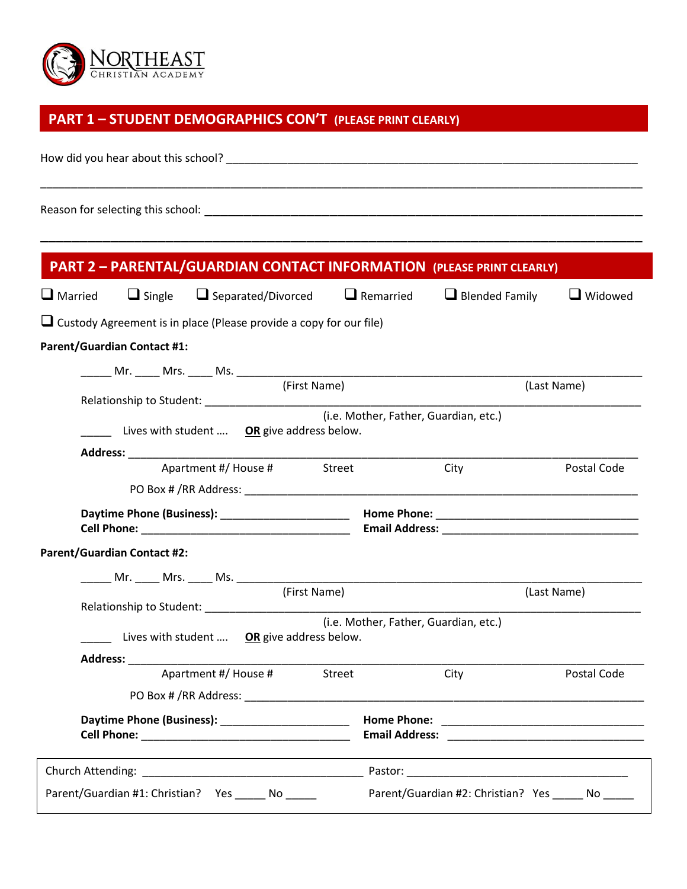

## **PART 1 – STUDENT DEMOGRAPHICS CON'T (PLEASE PRINT CLEARLY)**

How did you hear about this school? \_\_\_\_\_\_\_\_\_\_\_\_\_\_\_\_\_\_\_\_\_\_\_\_\_\_\_\_\_\_\_\_\_\_\_\_\_\_\_\_\_\_\_\_\_\_\_\_\_\_\_\_\_\_\_\_\_\_\_\_\_\_\_\_\_\_\_

Reason for selecting this school: \_\_\_\_\_\_\_\_\_\_\_\_\_\_\_\_\_\_\_\_\_\_\_\_\_\_\_\_\_\_\_\_\_\_\_\_\_\_\_\_\_\_\_\_\_\_\_\_\_\_\_\_\_\_\_\_

|                |                                    |                                                                           |              |                                       | <b>PART 2 - PARENTAL/GUARDIAN CONTACT INFORMATION (PLEASE PRINT CLEARLY)</b> |             |
|----------------|------------------------------------|---------------------------------------------------------------------------|--------------|---------------------------------------|------------------------------------------------------------------------------|-------------|
| $\Box$ Married | $\Box$ Single                      | $\Box$ Separated/Divorced                                                 |              | $\Box$ Remarried                      | $\Box$ Blended Family                                                        | Widowed     |
|                |                                    | $\Box$ Custody Agreement is in place (Please provide a copy for our file) |              |                                       |                                                                              |             |
|                | <b>Parent/Guardian Contact #1:</b> |                                                                           |              |                                       |                                                                              |             |
|                |                                    |                                                                           |              |                                       |                                                                              |             |
|                |                                    |                                                                           | (First Name) |                                       |                                                                              | (Last Name) |
|                |                                    |                                                                           |              | (i.e. Mother, Father, Guardian, etc.) |                                                                              |             |
|                |                                    | Lives with student  OR give address below.                                |              |                                       |                                                                              |             |
|                |                                    | Apartment #/ House # Street                                               |              |                                       | City                                                                         | Postal Code |
|                |                                    |                                                                           |              |                                       |                                                                              |             |
|                |                                    |                                                                           |              |                                       |                                                                              |             |
|                | <b>Parent/Guardian Contact #2:</b> |                                                                           |              |                                       |                                                                              |             |
|                |                                    |                                                                           |              |                                       |                                                                              |             |
|                |                                    |                                                                           | (First Name) |                                       |                                                                              | (Last Name) |
|                |                                    |                                                                           |              |                                       |                                                                              |             |
|                |                                    | Lives with student  OR give address below.                                |              | (i.e. Mother, Father, Guardian, etc.) |                                                                              |             |
|                |                                    |                                                                           |              |                                       |                                                                              |             |
|                |                                    | Apartment #/ House # Street                                               |              |                                       | City                                                                         | Postal Code |
|                |                                    |                                                                           |              |                                       |                                                                              |             |
|                |                                    |                                                                           |              |                                       |                                                                              |             |
|                |                                    |                                                                           |              |                                       |                                                                              |             |
|                |                                    | Parent/Guardian #1: Christian? Yes ______ No _____                        |              |                                       | Parent/Guardian #2: Christian? Yes ______ No _____                           |             |

\_\_\_\_\_\_\_\_\_\_\_\_\_\_\_\_\_\_\_\_\_\_\_\_\_\_\_\_\_\_\_\_\_\_\_\_\_\_\_\_\_\_\_\_\_\_\_\_\_\_\_\_\_\_\_\_\_\_\_\_\_\_\_\_\_\_\_\_\_\_\_\_\_\_\_\_\_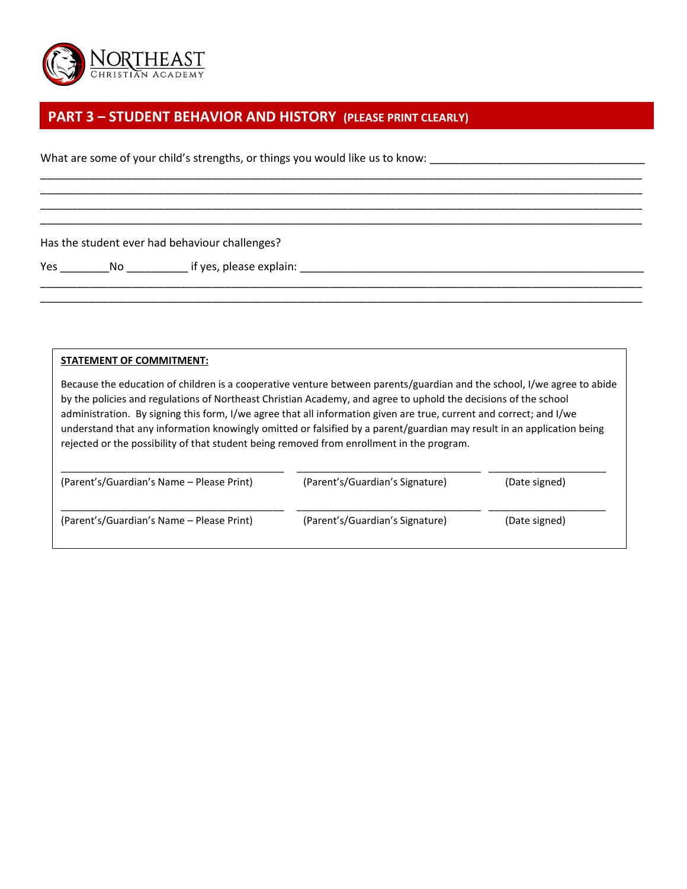

#### **PART 3 – STUDENT BEHAVIOR AND HISTORY (PLEASE PRINT CLEARLY)**

What are some of your child's strengths, or things you would like us to know:

Has the student ever had behaviour challenges?

Yes \_\_\_\_\_\_\_\_No \_\_\_\_\_\_\_\_\_\_ if yes, please explain: \_\_\_\_\_\_\_\_\_\_\_\_\_\_\_\_\_\_\_\_\_\_\_\_\_\_\_\_\_\_\_\_\_\_\_\_\_\_\_\_\_\_\_\_\_\_\_\_\_\_\_\_\_\_\_\_

#### **STATEMENT OF COMMITMENT:**

Because the education of children is a cooperative venture between parents/guardian and the school, I/we agree to abide by the policies and regulations of Northeast Christian Academy, and agree to uphold the decisions of the school administration. By signing this form, I/we agree that all information given are true, current and correct; and I/we understand that any information knowingly omitted or falsified by a parent/guardian may result in an application being rejected or the possibility of that student being removed from enrollment in the program.

\_\_\_\_\_\_\_\_\_\_\_\_\_\_\_\_\_\_\_\_\_\_\_\_\_\_\_\_\_\_\_\_\_\_\_\_\_\_\_\_\_\_\_\_\_\_\_\_\_\_\_\_\_\_\_\_\_\_\_\_\_\_\_\_\_\_\_\_\_\_\_\_\_\_\_\_\_\_\_\_\_\_\_\_\_\_\_\_\_\_\_\_\_\_\_\_\_\_ \_\_\_\_\_\_\_\_\_\_\_\_\_\_\_\_\_\_\_\_\_\_\_\_\_\_\_\_\_\_\_\_\_\_\_\_\_\_\_\_\_\_\_\_\_\_\_\_\_\_\_\_\_\_\_\_\_\_\_\_\_\_\_\_\_\_\_\_\_\_\_\_\_\_\_\_\_\_\_\_\_\_\_\_\_\_\_\_\_\_\_\_\_\_\_\_\_\_ \_\_\_\_\_\_\_\_\_\_\_\_\_\_\_\_\_\_\_\_\_\_\_\_\_\_\_\_\_\_\_\_\_\_\_\_\_\_\_\_\_\_\_\_\_\_\_\_\_\_\_\_\_\_\_\_\_\_\_\_\_\_\_\_\_\_\_\_\_\_\_\_\_\_\_\_\_\_\_\_\_\_\_\_\_\_\_\_\_\_\_\_\_\_\_\_\_\_ \_\_\_\_\_\_\_\_\_\_\_\_\_\_\_\_\_\_\_\_\_\_\_\_\_\_\_\_\_\_\_\_\_\_\_\_\_\_\_\_\_\_\_\_\_\_\_\_\_\_\_\_\_\_\_\_\_\_\_\_\_\_\_\_\_\_\_\_\_\_\_\_\_\_\_\_\_\_\_\_\_\_\_\_\_\_\_\_\_\_\_\_\_\_\_\_\_\_

\_\_\_\_\_\_\_\_\_\_\_\_\_\_\_\_\_\_\_\_\_\_\_\_\_\_\_\_\_\_\_\_\_\_\_\_\_\_\_\_\_\_\_\_\_\_\_\_\_\_\_\_\_\_\_\_\_\_\_\_\_\_\_\_\_\_\_\_\_\_\_\_\_\_\_\_\_\_\_\_\_\_\_\_\_\_\_\_\_\_\_\_\_\_\_\_\_\_ \_\_\_\_\_\_\_\_\_\_\_\_\_\_\_\_\_\_\_\_\_\_\_\_\_\_\_\_\_\_\_\_\_\_\_\_\_\_\_\_\_\_\_\_\_\_\_\_\_\_\_\_\_\_\_\_\_\_\_\_\_\_\_\_\_\_\_\_\_\_\_\_\_\_\_\_\_\_\_\_\_\_\_\_\_\_\_\_\_\_\_\_\_\_\_\_\_\_

| (Parent's/Guardian's Name – Please Print) | (Parent's/Guardian's Signature) | (Date signed) |
|-------------------------------------------|---------------------------------|---------------|
| (Parent's/Guardian's Name – Please Print) | (Parent's/Guardian's Signature) | (Date signed) |